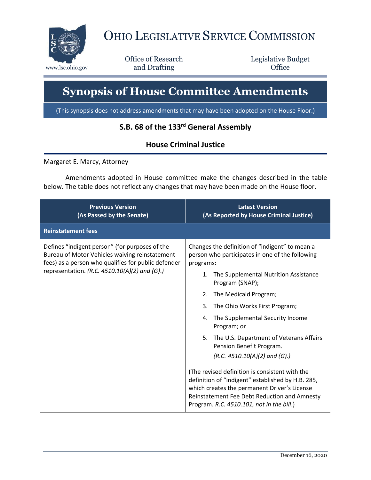

## OHIO LEGISLATIVE SERVICE COMMISSION

Office of Research www.lsc.ohio.gov **and Drafting Office** 

Legislative Budget

## **Synopsis of House Committee Amendments**

(This synopsis does not address amendments that may have been adopted on the House Floor.)

## **S.B. 68 of the 133rd General Assembly**

## **House Criminal Justice**

Margaret E. Marcy, Attorney

Amendments adopted in House committee make the changes described in the table below. The table does not reflect any changes that may have been made on the House floor.

| <b>Previous Version</b><br>(As Passed by the Senate)                                                                                                                                                     | <b>Latest Version</b><br>(As Reported by House Criminal Justice)                                                                                                                                                                                                                                                                                                                                                                                                                                                                                                                                                                                                                     |
|----------------------------------------------------------------------------------------------------------------------------------------------------------------------------------------------------------|--------------------------------------------------------------------------------------------------------------------------------------------------------------------------------------------------------------------------------------------------------------------------------------------------------------------------------------------------------------------------------------------------------------------------------------------------------------------------------------------------------------------------------------------------------------------------------------------------------------------------------------------------------------------------------------|
| <b>Reinstatement fees</b>                                                                                                                                                                                |                                                                                                                                                                                                                                                                                                                                                                                                                                                                                                                                                                                                                                                                                      |
| Defines "indigent person" (for purposes of the<br>Bureau of Motor Vehicles waiving reinstatement<br>fees) as a person who qualifies for public defender<br>representation. (R.C. 4510.10(A)(2) and (G).) | Changes the definition of "indigent" to mean a<br>person who participates in one of the following<br>programs:<br>The Supplemental Nutrition Assistance<br>1.<br>Program (SNAP);<br>The Medicaid Program;<br>2.<br>3.<br>The Ohio Works First Program;<br>The Supplemental Security Income<br>4.<br>Program; or<br>5.<br>The U.S. Department of Veterans Affairs<br>Pension Benefit Program.<br>$(R.C. 4510.10(A)(2)$ and $(G).$<br>(The revised definition is consistent with the<br>definition of "indigent" established by H.B. 285,<br>which creates the permanent Driver's License<br>Reinstatement Fee Debt Reduction and Amnesty<br>Program. R.C. 4510.101, not in the bill.) |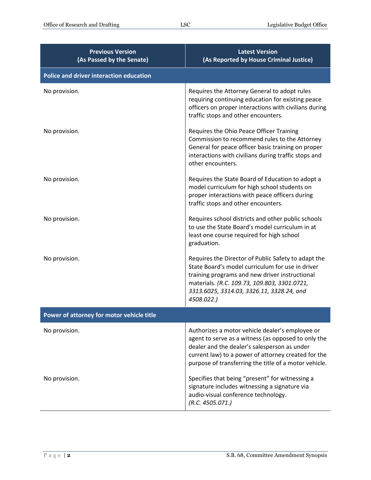| <b>Previous Version</b><br>(As Passed by the Senate) | <b>Latest Version</b><br>(As Reported by House Criminal Justice)                                                                                                                                                                                                       |
|------------------------------------------------------|------------------------------------------------------------------------------------------------------------------------------------------------------------------------------------------------------------------------------------------------------------------------|
| <b>Police and driver interaction education</b>       |                                                                                                                                                                                                                                                                        |
| No provision.                                        | Requires the Attorney General to adopt rules<br>requiring continuing education for existing peace<br>officers on proper interactions with civilians during<br>traffic stops and other encounters.                                                                      |
| No provision.                                        | Requires the Ohio Peace Officer Training<br>Commission to recommend rules to the Attorney<br>General for peace officer basic training on proper<br>interactions with civilians during traffic stops and<br>other encounters.                                           |
| No provision.                                        | Requires the State Board of Education to adopt a<br>model curriculum for high school students on<br>proper interactions with peace officers during<br>traffic stops and other encounters.                                                                              |
| No provision.                                        | Requires school districts and other public schools<br>to use the State Board's model curriculum in at<br>least one course required for high school<br>graduation.                                                                                                      |
| No provision.                                        | Requires the Director of Public Safety to adapt the<br>State Board's model curriculum for use in driver<br>training programs and new driver instructional<br>materials. (R.C. 109.73, 109.803, 3301.0721,<br>3313.6025, 3314.03, 3326.11, 3328.24, and<br>4508.022.)   |
| Power of attorney for motor vehicle title            |                                                                                                                                                                                                                                                                        |
| No provision.                                        | Authorizes a motor vehicle dealer's employee or<br>agent to serve as a witness (as opposed to only the<br>dealer and the dealer's salesperson as under<br>current law) to a power of attorney created for the<br>purpose of transferring the title of a motor vehicle. |
| No provision.                                        | Specifies that being "present" for witnessing a<br>signature includes witnessing a signature via<br>audio-visual conference technology.<br>(R.C. 4505.071.)                                                                                                            |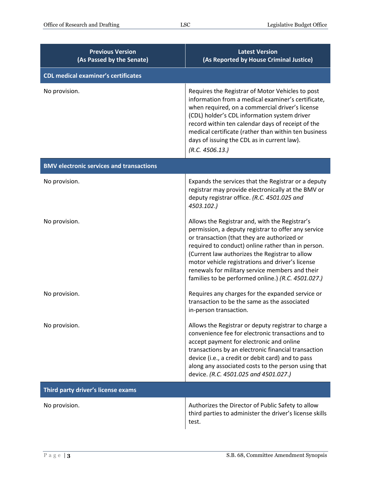| <b>Previous Version</b><br>(As Passed by the Senate) | <b>Latest Version</b><br>(As Reported by House Criminal Justice)                                                                                                                                                                                                                                                                                                                                                          |  |
|------------------------------------------------------|---------------------------------------------------------------------------------------------------------------------------------------------------------------------------------------------------------------------------------------------------------------------------------------------------------------------------------------------------------------------------------------------------------------------------|--|
| <b>CDL medical examiner's certificates</b>           |                                                                                                                                                                                                                                                                                                                                                                                                                           |  |
| No provision.                                        | Requires the Registrar of Motor Vehicles to post<br>information from a medical examiner's certificate,<br>when required, on a commercial driver's license<br>(CDL) holder's CDL information system driver<br>record within ten calendar days of receipt of the<br>medical certificate (rather than within ten business<br>days of issuing the CDL as in current law).<br>(R.C. 4506.13.)                                  |  |
| <b>BMV electronic services and transactions</b>      |                                                                                                                                                                                                                                                                                                                                                                                                                           |  |
| No provision.                                        | Expands the services that the Registrar or a deputy<br>registrar may provide electronically at the BMV or<br>deputy registrar office. (R.C. 4501.025 and<br>4503.102.)                                                                                                                                                                                                                                                    |  |
| No provision.                                        | Allows the Registrar and, with the Registrar's<br>permission, a deputy registrar to offer any service<br>or transaction (that they are authorized or<br>required to conduct) online rather than in person.<br>(Current law authorizes the Registrar to allow<br>motor vehicle registrations and driver's license<br>renewals for military service members and their<br>families to be performed online.) (R.C. 4501.027.) |  |
| No provision.                                        | Requires any charges for the expanded service or<br>transaction to be the same as the associated<br>in-person transaction.                                                                                                                                                                                                                                                                                                |  |
| No provision.                                        | Allows the Registrar or deputy registrar to charge a<br>convenience fee for electronic transactions and to<br>accept payment for electronic and online<br>transactions by an electronic financial transaction<br>device (i.e., a credit or debit card) and to pass<br>along any associated costs to the person using that<br>device. (R.C. 4501.025 and 4501.027.)                                                        |  |
| Third party driver's license exams                   |                                                                                                                                                                                                                                                                                                                                                                                                                           |  |
| No provision.                                        | Authorizes the Director of Public Safety to allow<br>third parties to administer the driver's license skills<br>test.                                                                                                                                                                                                                                                                                                     |  |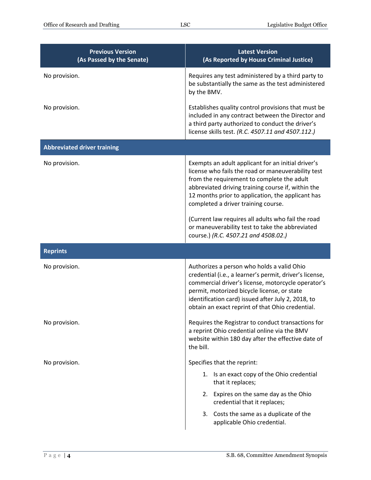| <b>Previous Version</b><br>(As Passed by the Senate) | <b>Latest Version</b><br>(As Reported by House Criminal Justice)                                                                                                                                                                                                                                                                                                                                                                                          |
|------------------------------------------------------|-----------------------------------------------------------------------------------------------------------------------------------------------------------------------------------------------------------------------------------------------------------------------------------------------------------------------------------------------------------------------------------------------------------------------------------------------------------|
| No provision.                                        | Requires any test administered by a third party to<br>be substantially the same as the test administered<br>by the BMV.                                                                                                                                                                                                                                                                                                                                   |
| No provision.                                        | Establishes quality control provisions that must be<br>included in any contract between the Director and<br>a third party authorized to conduct the driver's<br>license skills test. (R.C. 4507.11 and 4507.112.)                                                                                                                                                                                                                                         |
| <b>Abbreviated driver training</b>                   |                                                                                                                                                                                                                                                                                                                                                                                                                                                           |
| No provision.                                        | Exempts an adult applicant for an initial driver's<br>license who fails the road or maneuverability test<br>from the requirement to complete the adult<br>abbreviated driving training course if, within the<br>12 months prior to application, the applicant has<br>completed a driver training course.<br>(Current law requires all adults who fail the road<br>or maneuverability test to take the abbreviated<br>course.) (R.C. 4507.21 and 4508.02.) |
| <b>Reprints</b>                                      |                                                                                                                                                                                                                                                                                                                                                                                                                                                           |
| No provision.                                        | Authorizes a person who holds a valid Ohio<br>credential (i.e., a learner's permit, driver's license,<br>commercial driver's license, motorcycle operator's<br>permit, motorized bicycle license, or state<br>identification card) issued after July 2, 2018, to<br>obtain an exact reprint of that Ohio credential.                                                                                                                                      |
| No provision.                                        | Requires the Registrar to conduct transactions for<br>a reprint Ohio credential online via the BMV<br>website within 180 day after the effective date of<br>the bill.                                                                                                                                                                                                                                                                                     |
| No provision.                                        | Specifies that the reprint:                                                                                                                                                                                                                                                                                                                                                                                                                               |
|                                                      | Is an exact copy of the Ohio credential<br>1.<br>that it replaces;<br>2. Expires on the same day as the Ohio<br>credential that it replaces;                                                                                                                                                                                                                                                                                                              |
|                                                      | 3. Costs the same as a duplicate of the<br>applicable Ohio credential.                                                                                                                                                                                                                                                                                                                                                                                    |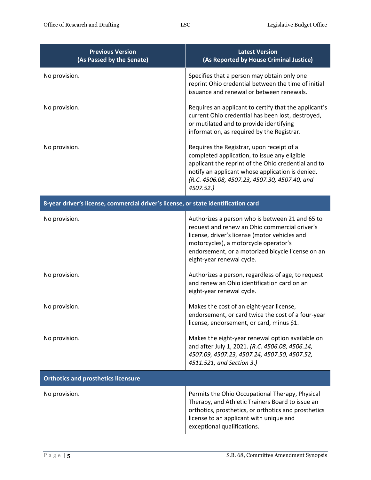| <b>Previous Version</b><br>(As Passed by the Senate)                               | <b>Latest Version</b><br>(As Reported by House Criminal Justice)                                                                                                                                                                                                             |
|------------------------------------------------------------------------------------|------------------------------------------------------------------------------------------------------------------------------------------------------------------------------------------------------------------------------------------------------------------------------|
| No provision.                                                                      | Specifies that a person may obtain only one<br>reprint Ohio credential between the time of initial<br>issuance and renewal or between renewals.                                                                                                                              |
| No provision.                                                                      | Requires an applicant to certify that the applicant's<br>current Ohio credential has been lost, destroyed,<br>or mutilated and to provide identifying<br>information, as required by the Registrar.                                                                          |
| No provision.                                                                      | Requires the Registrar, upon receipt of a<br>completed application, to issue any eligible<br>applicant the reprint of the Ohio credential and to<br>notify an applicant whose application is denied.<br>(R.C. 4506.08, 4507.23, 4507.30, 4507.40, and<br>4507.52.)           |
| 8-year driver's license, commercial driver's license, or state identification card |                                                                                                                                                                                                                                                                              |
| No provision.                                                                      | Authorizes a person who is between 21 and 65 to<br>request and renew an Ohio commercial driver's<br>license, driver's license (motor vehicles and<br>motorcycles), a motorcycle operator's<br>endorsement, or a motorized bicycle license on an<br>eight-year renewal cycle. |
| No provision.                                                                      | Authorizes a person, regardless of age, to request<br>and renew an Ohio identification card on an<br>eight-year renewal cycle.                                                                                                                                               |
| No provision.                                                                      | Makes the cost of an eight-year license,<br>endorsement, or card twice the cost of a four-year<br>license, endorsement, or card, minus \$1.                                                                                                                                  |
| No provision.                                                                      | Makes the eight-year renewal option available on<br>and after July 1, 2021. (R.C. 4506.08, 4506.14,<br>4507.09, 4507.23, 4507.24, 4507.50, 4507.52,<br>4511.521, and Section 3.)                                                                                             |
| <b>Orthotics and prosthetics licensure</b>                                         |                                                                                                                                                                                                                                                                              |
| No provision.                                                                      | Permits the Ohio Occupational Therapy, Physical<br>Therapy, and Athletic Trainers Board to issue an<br>orthotics, prosthetics, or orthotics and prosthetics<br>license to an applicant with unique and<br>exceptional qualifications.                                        |